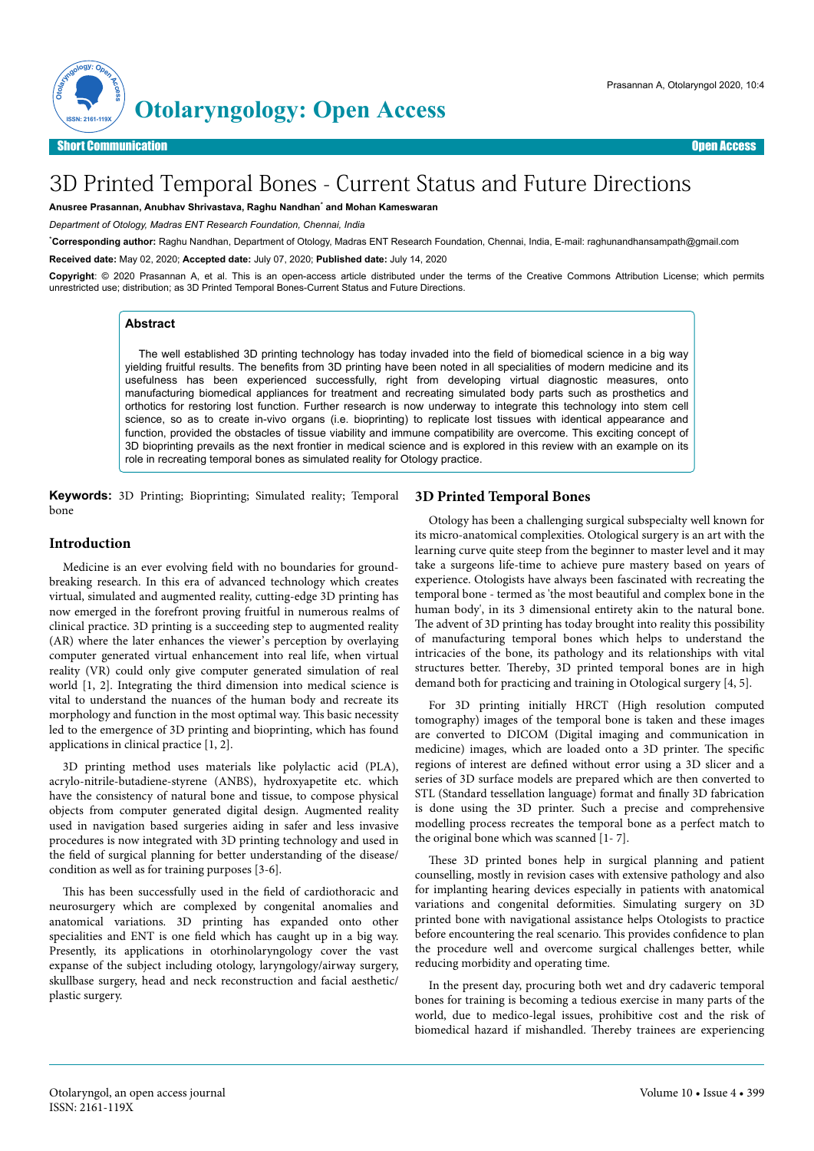

# 3D Printed Temporal Bones - Current Status and Future Directions

**Anusree Prasannan, Anubhav Shrivastava, Raghu Nandhan**\*  **and Mohan Kameswaran**

*Department of Otology, Madras ENT Research Foundation, Chennai, India*

\***Corresponding author:** Raghu Nandhan, Department of Otology, Madras ENT Research Foundation, Chennai, India, E-mail: raghunandhansampath@gmail.com **Received date:** May 02, 2020; **Accepted date:** July 07, 2020; **Published date:** July 14, 2020

**Copyright**: © 2020 Prasannan A, et al. This is an open-access article distributed under the terms of the Creative Commons Attribution License; which permits unrestricted use; distribution; as 3D Printed Temporal Bones-Current Status and Future Directions.

### **Abstract**

The well established 3D printing technology has today invaded into the field of biomedical science in a big way yielding fruitful results. The benefits from 3D printing have been noted in all specialities of modern medicine and its usefulness has been experienced successfully, right from developing virtual diagnostic measures, onto manufacturing biomedical appliances for treatment and recreating simulated body parts such as prosthetics and orthotics for restoring lost function. Further research is now underway to integrate this technology into stem cell science, so as to create in-vivo organs (i.e. bioprinting) to replicate lost tissues with identical appearance and function, provided the obstacles of tissue viability and immune compatibility are overcome. This exciting concept of 3D bioprinting prevails as the next frontier in medical science and is explored in this review with an example on its role in recreating temporal bones as simulated reality for Otology practice.

**Keywords:** 3D Printing; Bioprinting; Simulated reality; Temporal bone

#### **Introduction**

Medicine is an ever evolving field with no boundaries for groundbreaking research. In this era of advanced technology which creates virtual, simulated and augmented reality, cutting-edge 3D printing has now emerged in the forefront proving fruitful in numerous realms of clinical practice. 3D printing is a succeeding step to augmented reality (AR) where the later enhances the viewer's perception by overlaying computer generated virtual enhancement into real life, when virtual reality (VR) could only give computer generated simulation of real world [1, 2]. Integrating the third dimension into medical science is vital to understand the nuances of the human body and recreate its morphology and function in the most optimal way. This basic necessity led to the emergence of 3D printing and bioprinting, which has found applications in clinical practice [1, 2].

3D printing method uses materials like polylactic acid (PLA), acrylo-nitrile-butadiene-styrene (ANBS), hydroxyapetite etc. which have the consistency of natural bone and tissue, to compose physical objects from computer generated digital design. Augmented reality used in navigation based surgeries aiding in safer and less invasive procedures is now integrated with 3D printing technology and used in the field of surgical planning for better understanding of the disease/ condition as well as for training purposes [3-6].

This has been successfully used in the field of cardiothoracic and neurosurgery which are complexed by congenital anomalies and anatomical variations. 3D printing has expanded onto other specialities and ENT is one field which has caught up in a big way. Presently, its applications in otorhinolaryngology cover the vast expanse of the subject including otology, laryngology/airway surgery, skullbase surgery, head and neck reconstruction and facial aesthetic/ plastic surgery.

### **3D Printed Temporal Bones**

Otology has been a challenging surgical subspecialty well known for its micro-anatomical complexities. Otological surgery is an art with the learning curve quite steep from the beginner to master level and it may take a surgeons life-time to achieve pure mastery based on years of experience. Otologists have always been fascinated with recreating the temporal bone - termed as 'the most beautiful and complex bone in the human body', in its 3 dimensional entirety akin to the natural bone. The advent of 3D printing has today brought into reality this possibility of manufacturing temporal bones which helps to understand the intricacies of the bone, its pathology and its relationships with vital structures better. Thereby, 3D printed temporal bones are in high demand both for practicing and training in Otological surgery [4, 5].

For 3D printing initially HRCT (High resolution computed tomography) images of the temporal bone is taken and these images are converted to DICOM (Digital imaging and communication in medicine) images, which are loaded onto a 3D printer. The specific regions of interest are defined without error using a 3D slicer and a series of 3D surface models are prepared which are then converted to STL (Standard tessellation language) format and finally 3D fabrication is done using the 3D printer. Such a precise and comprehensive modelling process recreates the temporal bone as a perfect match to the original bone which was scanned [1- 7].

These 3D printed bones help in surgical planning and patient counselling, mostly in revision cases with extensive pathology and also for implanting hearing devices especially in patients with anatomical variations and congenital deformities. Simulating surgery on 3D printed bone with navigational assistance helps Otologists to practice before encountering the real scenario. This provides confidence to plan the procedure well and overcome surgical challenges better, while reducing morbidity and operating time.

In the present day, procuring both wet and dry cadaveric temporal bones for training is becoming a tedious exercise in many parts of the world, due to medico-legal issues, prohibitive cost and the risk of biomedical hazard if mishandled. Thereby trainees are experiencing